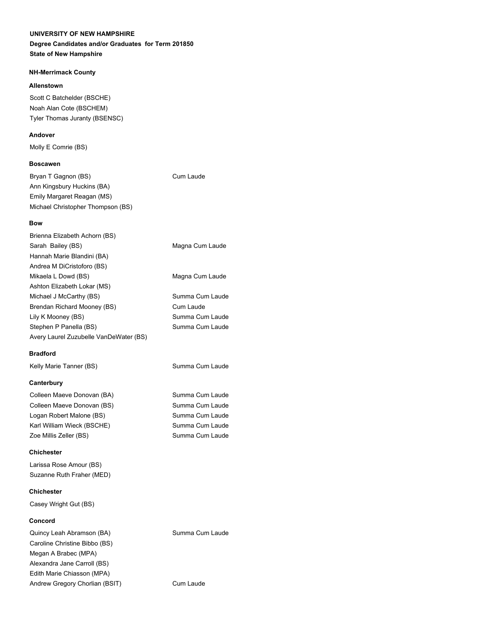#### **Degree Candidates and/or Graduates for Term 201850 State of New Hampshire**

### **NH-Merrimack County**

### **Allenstown**

Scott C Batchelder (BSCHE) Noah Alan Cote (BSCHEM) Tyler Thomas Juranty (BSENSC)

### **Andover**

Molly E Comrie (BS)

## **Boscawen**

Bryan T Gagnon (BS) Cum Laude Ann Kingsbury Huckins (BA) Emily Margaret Reagan (MS) Michael Christopher Thompson (BS)

## **Bow**

| Brienna Elizabeth Achorn (BS)          |                 |
|----------------------------------------|-----------------|
| Sarah Bailey (BS)                      | Magna Cum Laude |
| Hannah Marie Blandini (BA)             |                 |
| Andrea M DiCristoforo (BS)             |                 |
| Mikaela L Dowd (BS)                    | Magna Cum Laude |
| Ashton Elizabeth Lokar (MS)            |                 |
| Michael J McCarthy (BS)                | Summa Cum Laude |
| Brendan Richard Mooney (BS)            | Cum Laude       |
| Lily K Mooney (BS)                     | Summa Cum Laude |
| Stephen P Panella (BS)                 | Summa Cum Laude |
| Avery Laurel Zuzubelle VanDeWater (BS) |                 |
|                                        |                 |

# **Bradford**

Kelly Marie Tanner (BS) Summa Cum Laude

# **Canterbury**

Colleen Maeve Donovan (BA) Summa Cum Laude Colleen Maeve Donovan (BS) Summa Cum Laude Logan Robert Malone (BS) Summa Cum Laude Karl William Wieck (BSCHE) Summa Cum Laude Zoe Millis Zeller (BS) Summa Cum Laude

## **Chichester**

Larissa Rose Amour (BS) Suzanne Ruth Fraher (MED)

## **Chichester**

Casey Wright Gut (BS)

# **Concord**

Quincy Leah Abramson (BA) Summa Cum Laude Caroline Christine Bibbo (BS) Megan A Brabec (MPA) Alexandra Jane Carroll (BS) Edith Marie Chiasson (MPA) Andrew Gregory Chorlian (BSIT) Cum Laude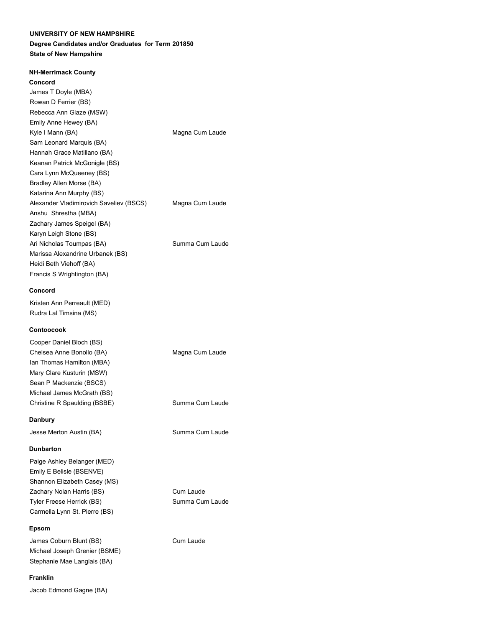### **Degree Candidates and/or Graduates for Term 201850 State of New Hampshire**

| Concord                                 |                 |
|-----------------------------------------|-----------------|
| James T Doyle (MBA)                     |                 |
| Rowan D Ferrier (BS)                    |                 |
| Rebecca Ann Glaze (MSW)                 |                 |
| Emily Anne Hewey (BA)                   |                 |
| Kyle I Mann (BA)                        | Magna Cum Laude |
| Sam Leonard Marquis (BA)                |                 |
| Hannah Grace Matillano (BA)             |                 |
| Keanan Patrick McGonigle (BS)           |                 |
| Cara Lynn McQueeney (BS)                |                 |
| Bradley Allen Morse (BA)                |                 |
| Katarina Ann Murphy (BS)                |                 |
| Alexander Vladimirovich Saveliev (BSCS) | Magna Cum Laude |
| Anshu Shrestha (MBA)                    |                 |
| Zachary James Speigel (BA)              |                 |
| Karyn Leigh Stone (BS)                  |                 |
| Ari Nicholas Toumpas (BA)               | Summa Cum Laude |
| Marissa Alexandrine Urbanek (BS)        |                 |
| Heidi Beth Viehoff (BA)                 |                 |
| Francis S Wrightington (BA)             |                 |
|                                         |                 |

#### **Concord**

Kristen Ann Perreault (MED) Rudra Lal Timsina (MS)

#### **Contoocook**

| Cooper Daniel Bloch (BS)     |                 |
|------------------------------|-----------------|
| Chelsea Anne Bonollo (BA)    | Magna Cum Laude |
| lan Thomas Hamilton (MBA)    |                 |
| Mary Clare Kusturin (MSW)    |                 |
| Sean P Mackenzie (BSCS)      |                 |
| Michael James McGrath (BS)   |                 |
| Christine R Spaulding (BSBE) | Summa Cum Laude |
|                              |                 |

Cum Laude Summa Cum Laude

#### **Danbury**

Jesse Merton Austin (BA) Summa Cum Laude

#### **Dunbarton**

| Paige Ashley Belanger (MED)   |
|-------------------------------|
| Emily E Belisle (BSENVE)      |
| Shannon Elizabeth Casey (MS)  |
| Zachary Nolan Harris (BS)     |
| Tyler Freese Herrick (BS)     |
| Carmella Lynn St. Pierre (BS) |

#### **Epsom**

James Coburn Blunt (BS) Cum Laude Michael Joseph Grenier (BSME) Stephanie Mae Langlais (BA)

#### **Franklin**

Jacob Edmond Gagne (BA)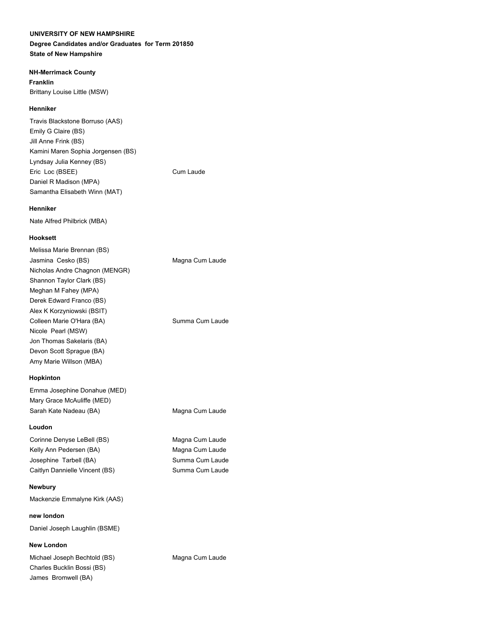#### **Degree Candidates and/or Graduates for Term 201850 State of New Hampshire**

### **NH-Merrimack County**

**Franklin** Brittany Louise Little (MSW)

## **Henniker**

Travis Blackstone Borruso (AAS) Emily G Claire (BS) Jill Anne Frink (BS) Kamini Maren Sophia Jorgensen (BS) Lyndsay Julia Kenney (BS) Eric Loc (BSEE) Cum Laude Daniel R Madison (MPA) Samantha Elisabeth Winn (MAT)

#### **Henniker**

Nate Alfred Philbrick (MBA)

### **Hooksett**

| Melissa Marie Brennan (BS)     |                 |
|--------------------------------|-----------------|
| Jasmina Cesko (BS)             | Magna Cum Laude |
| Nicholas Andre Chagnon (MENGR) |                 |
| Shannon Taylor Clark (BS)      |                 |
| Meghan M Fahey (MPA)           |                 |
| Derek Edward Franco (BS)       |                 |
| Alex K Korzyniowski (BSIT)     |                 |
| Colleen Marie O'Hara (BA)      | Summa Cum Laude |
| Nicole Pearl (MSW)             |                 |
| Jon Thomas Sakelaris (BA)      |                 |
| Devon Scott Sprague (BA)       |                 |
| Amy Marie Willson (MBA)        |                 |
|                                |                 |

### **Hopkinton**

| Emma Josephine Donahue (MED) |                 |
|------------------------------|-----------------|
| Mary Grace McAuliffe (MED)   |                 |
| Sarah Kate Nadeau (BA)       | Magna Cum Laude |

### **Loudon**

Corinne Denyse LeBell (BS) Magna Cum Laude Kelly Ann Pedersen (BA) Magna Cum Laude Josephine Tarbell (BA) Summa Cum Laude Caitlyn Dannielle Vincent (BS) Summa Cum Laude

#### **Newbury**

Mackenzie Emmalyne Kirk (AAS)

**new london** Daniel Joseph Laughlin (BSME)

#### **New London**

Michael Joseph Bechtold (BS) Magna Cum Laude Charles Bucklin Bossi (BS) James Bromwell (BA)